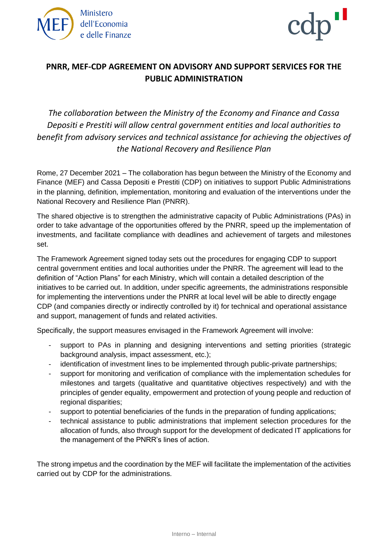



## **PNRR, MEF-CDP AGREEMENT ON ADVISORY AND SUPPORT SERVICES FOR THE PUBLIC ADMINISTRATION**

*The collaboration between the Ministry of the Economy and Finance and Cassa Depositi e Prestiti will allow central government entities and local authorities to benefit from advisory services and technical assistance for achieving the objectives of the National Recovery and Resilience Plan*

Rome, 27 December 2021 – The collaboration has begun between the Ministry of the Economy and Finance (MEF) and Cassa Depositi e Prestiti (CDP) on initiatives to support Public Administrations in the planning, definition, implementation, monitoring and evaluation of the interventions under the National Recovery and Resilience Plan (PNRR).

The shared objective is to strengthen the administrative capacity of Public Administrations (PAs) in order to take advantage of the opportunities offered by the PNRR, speed up the implementation of investments, and facilitate compliance with deadlines and achievement of targets and milestones set.

The Framework Agreement signed today sets out the procedures for engaging CDP to support central government entities and local authorities under the PNRR. The agreement will lead to the definition of "Action Plans" for each Ministry, which will contain a detailed description of the initiatives to be carried out. In addition, under specific agreements, the administrations responsible for implementing the interventions under the PNRR at local level will be able to directly engage CDP (and companies directly or indirectly controlled by it) for technical and operational assistance and support, management of funds and related activities.

Specifically, the support measures envisaged in the Framework Agreement will involve:

- support to PAs in planning and designing interventions and setting priorities (strategic background analysis, impact assessment, etc.);
- identification of investment lines to be implemented through public-private partnerships;
- support for monitoring and verification of compliance with the implementation schedules for milestones and targets (qualitative and quantitative objectives respectively) and with the principles of gender equality, empowerment and protection of young people and reduction of regional disparities;
- support to potential beneficiaries of the funds in the preparation of funding applications;
- technical assistance to public administrations that implement selection procedures for the allocation of funds, also through support for the development of dedicated IT applications for the management of the PNRR's lines of action.

The strong impetus and the coordination by the MEF will facilitate the implementation of the activities carried out by CDP for the administrations.